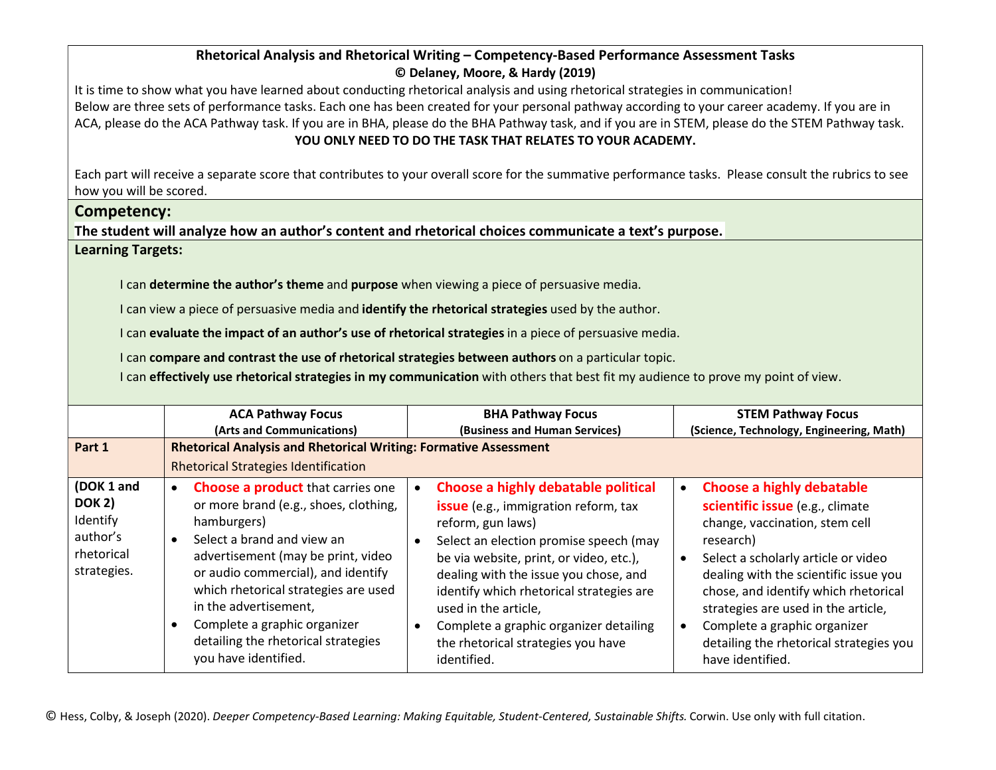## Rhetorical Analysis and Rhetorical Writing – Competency-Based Performance Assessment Tasks © Delaney, Moore, & Hardy (2019)

It is time to show what you have learned about conducting rhetorical analysis and using rhetorical strategies in communication! Below are three sets of performance tasks. Each one has been created for your personal pathway according to your career academy. If you are in ACA, please do the ACA Pathway task. If you are in BHA, please do the BHA Pathway task, and if you are in STEM, please do the STEM Pathway task. YOU ONLY NEED TO DO THE TASK THAT RELATES TO YOUR ACADEMY.

Each part will receive a separate score that contributes to your overall score for the summative performance tasks. Please consult the rubrics to see how you will be scored.

## Competency:

The student will analyze how an author's content and rhetorical choices communicate a text's purpose.

Learning Targets:

I can determine the author's theme and purpose when viewing a piece of persuasive media.

I can view a piece of persuasive media and **identify the rhetorical strategies** used by the author.

I can evaluate the impact of an author's use of rhetorical strategies in a piece of persuasive media.

I can compare and contrast the use of rhetorical strategies between authors on a particular topic.

I can **effectively use rhetorical strategies in my communication** with others that best fit my audience to prove my point of view.

|                                                                                  | <b>ACA Pathway Focus</b>                                                                                                                                                                                                                                                                                                                                                                                          | <b>BHA Pathway Focus</b>                                                                                                                                                                                                                                                                                                                                                                                 | <b>STEM Pathway Focus</b>                                                                                                                                                                                                                                                                                                                                                                     |  |
|----------------------------------------------------------------------------------|-------------------------------------------------------------------------------------------------------------------------------------------------------------------------------------------------------------------------------------------------------------------------------------------------------------------------------------------------------------------------------------------------------------------|----------------------------------------------------------------------------------------------------------------------------------------------------------------------------------------------------------------------------------------------------------------------------------------------------------------------------------------------------------------------------------------------------------|-----------------------------------------------------------------------------------------------------------------------------------------------------------------------------------------------------------------------------------------------------------------------------------------------------------------------------------------------------------------------------------------------|--|
|                                                                                  | (Arts and Communications)                                                                                                                                                                                                                                                                                                                                                                                         | (Business and Human Services)                                                                                                                                                                                                                                                                                                                                                                            | (Science, Technology, Engineering, Math)                                                                                                                                                                                                                                                                                                                                                      |  |
| Part 1                                                                           | <b>Rhetorical Analysis and Rhetorical Writing: Formative Assessment</b>                                                                                                                                                                                                                                                                                                                                           |                                                                                                                                                                                                                                                                                                                                                                                                          |                                                                                                                                                                                                                                                                                                                                                                                               |  |
|                                                                                  | <b>Rhetorical Strategies Identification</b>                                                                                                                                                                                                                                                                                                                                                                       |                                                                                                                                                                                                                                                                                                                                                                                                          |                                                                                                                                                                                                                                                                                                                                                                                               |  |
| (DOK 1 and<br><b>DOK 2)</b><br>Identify<br>author's<br>rhetorical<br>strategies. | <b>Choose a product that carries one</b><br>$\bullet$<br>or more brand (e.g., shoes, clothing,<br>hamburgers)<br>Select a brand and view an<br>$\bullet$<br>advertisement (may be print, video<br>or audio commercial), and identify<br>which rhetorical strategies are used<br>in the advertisement,<br>Complete a graphic organizer<br>$\bullet$<br>detailing the rhetorical strategies<br>you have identified. | Choose a highly debatable political<br><b>issue</b> (e.g., immigration reform, tax<br>reform, gun laws)<br>Select an election promise speech (may<br>be via website, print, or video, etc.),<br>dealing with the issue you chose, and<br>identify which rhetorical strategies are<br>used in the article,<br>Complete a graphic organizer detailing<br>the rhetorical strategies you have<br>identified. | <b>Choose a highly debatable</b><br>$\bullet$<br>scientific issue (e.g., climate<br>change, vaccination, stem cell<br>research)<br>Select a scholarly article or video<br>dealing with the scientific issue you<br>chose, and identify which rhetorical<br>strategies are used in the article,<br>Complete a graphic organizer<br>detailing the rhetorical strategies you<br>have identified. |  |